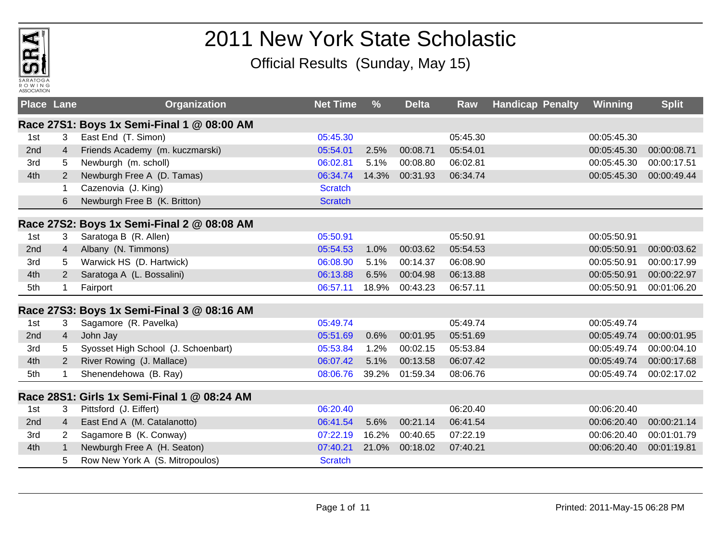

## 2011 New York State Scholastic

Official Results (Sunday, May 15)

| <b>Place Lane</b> |                | Organization                                | <b>Net Time</b> | $\frac{9}{6}$ | <b>Delta</b> | Raw      | <b>Handicap Penalty</b> | Winning     | <b>Split</b> |
|-------------------|----------------|---------------------------------------------|-----------------|---------------|--------------|----------|-------------------------|-------------|--------------|
|                   |                | Race 27S1: Boys 1x Semi-Final 1 @ 08:00 AM  |                 |               |              |          |                         |             |              |
| 1st               | 3              | East End (T. Simon)                         | 05:45.30        |               |              | 05:45.30 |                         | 00:05:45.30 |              |
| 2nd               | 4              | Friends Academy (m. kuczmarski)             | 05:54.01        | 2.5%          | 00:08.71     | 05:54.01 |                         | 00:05:45.30 | 00:00:08.71  |
| 3rd               | 5              | Newburgh (m. scholl)                        | 06:02.81        | 5.1%          | 00:08.80     | 06:02.81 |                         | 00:05:45.30 | 00:00:17.51  |
| 4th               | $\overline{2}$ | Newburgh Free A (D. Tamas)                  | 06:34.74        | 14.3%         | 00:31.93     | 06:34.74 |                         | 00:05:45.30 | 00:00:49.44  |
|                   | 1              | Cazenovia (J. King)                         | <b>Scratch</b>  |               |              |          |                         |             |              |
|                   | 6              | Newburgh Free B (K. Britton)                | <b>Scratch</b>  |               |              |          |                         |             |              |
|                   |                | Race 27S2: Boys 1x Semi-Final 2 @ 08:08 AM  |                 |               |              |          |                         |             |              |
| 1st               | 3              | Saratoga B (R. Allen)                       | 05:50.91        |               |              | 05:50.91 |                         | 00:05:50.91 |              |
| 2nd               | $\overline{4}$ | Albany (N. Timmons)                         | 05:54.53        | 1.0%          | 00:03.62     | 05:54.53 |                         | 00:05:50.91 | 00:00:03.62  |
| 3rd               | 5              | Warwick HS (D. Hartwick)                    | 06:08.90        | 5.1%          | 00:14.37     | 06:08.90 |                         | 00:05:50.91 | 00:00:17.99  |
| 4th               | 2              | Saratoga A (L. Bossalini)                   | 06:13.88        | 6.5%          | 00:04.98     | 06:13.88 |                         | 00:05:50.91 | 00:00:22.97  |
| 5th               | 1              | Fairport                                    | 06:57.11        | 18.9%         | 00:43.23     | 06:57.11 |                         | 00:05:50.91 | 00:01:06.20  |
|                   |                | Race 27S3: Boys 1x Semi-Final 3 @ 08:16 AM  |                 |               |              |          |                         |             |              |
| 1st               | 3              | Sagamore (R. Pavelka)                       | 05:49.74        |               |              | 05:49.74 |                         | 00:05:49.74 |              |
| 2 <sub>nd</sub>   | $\overline{4}$ | John Jay                                    | 05:51.69        | 0.6%          | 00:01.95     | 05:51.69 |                         | 00:05:49.74 | 00:00:01.95  |
| 3rd               | 5              | Syosset High School (J. Schoenbart)         | 05:53.84        | 1.2%          | 00:02.15     | 05:53.84 |                         | 00:05:49.74 | 00:00:04.10  |
| 4th               | 2              | River Rowing (J. Mallace)                   | 06:07.42        | 5.1%          | 00:13.58     | 06:07.42 |                         | 00:05:49.74 | 00:00:17.68  |
| 5th               |                | Shenendehowa (B. Ray)                       | 08:06.76        | 39.2%         | 01:59.34     | 08:06.76 |                         | 00:05:49.74 | 00:02:17.02  |
|                   |                | Race 28S1: Girls 1x Semi-Final 1 @ 08:24 AM |                 |               |              |          |                         |             |              |
| 1st               | 3              | Pittsford (J. Eiffert)                      | 06:20.40        |               |              | 06:20.40 |                         | 00:06:20.40 |              |
| 2nd               | $\overline{4}$ | East End A (M. Catalanotto)                 | 06:41.54        | 5.6%          | 00:21.14     | 06:41.54 |                         | 00:06:20.40 | 00:00:21.14  |
| 3rd               | $\overline{2}$ | Sagamore B (K. Conway)                      | 07:22.19        | 16.2%         | 00:40.65     | 07:22.19 |                         | 00:06:20.40 | 00:01:01.79  |
| 4th               | 1              | Newburgh Free A (H. Seaton)                 | 07:40.21        | 21.0%         | 00:18.02     | 07:40.21 |                         | 00:06:20.40 | 00:01:19.81  |
|                   | 5              | Row New York A (S. Mitropoulos)             | <b>Scratch</b>  |               |              |          |                         |             |              |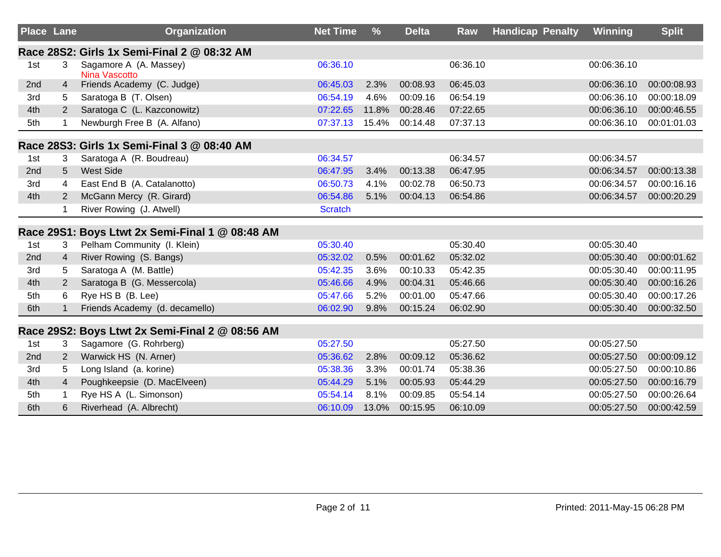| <b>Place Lane</b> |                | <b>Organization</b>                             | <b>Net Time</b> | $\frac{9}{6}$ | <b>Delta</b> | Raw      | <b>Handicap Penalty</b> | Winning     | <b>Split</b> |
|-------------------|----------------|-------------------------------------------------|-----------------|---------------|--------------|----------|-------------------------|-------------|--------------|
|                   |                | Race 28S2: Girls 1x Semi-Final 2 @ 08:32 AM     |                 |               |              |          |                         |             |              |
| 1st               | 3              | Sagamore A (A. Massey)<br>Nina Vascotto         | 06:36.10        |               |              | 06:36.10 |                         | 00:06:36.10 |              |
| 2nd               | 4              | Friends Academy (C. Judge)                      | 06:45.03        | 2.3%          | 00:08.93     | 06:45.03 |                         | 00:06:36.10 | 00:00:08.93  |
| 3rd               | 5              | Saratoga B (T. Olsen)                           | 06:54.19        | 4.6%          | 00:09.16     | 06:54.19 |                         | 00:06:36.10 | 00:00:18.09  |
| 4th               | $\overline{2}$ | Saratoga C (L. Kazconowitz)                     | 07:22.65        | 11.8%         | 00:28.46     | 07:22.65 |                         | 00:06:36.10 | 00:00:46.55  |
| 5th               |                | Newburgh Free B (A. Alfano)                     | 07:37.13        | 15.4%         | 00:14.48     | 07:37.13 |                         | 00:06:36.10 | 00:01:01.03  |
|                   |                | Race 28S3: Girls 1x Semi-Final 3 @ 08:40 AM     |                 |               |              |          |                         |             |              |
| 1st               | 3              | Saratoga A (R. Boudreau)                        | 06:34.57        |               |              | 06:34.57 |                         | 00:06:34.57 |              |
| 2nd               | 5              | <b>West Side</b>                                | 06:47.95        | 3.4%          | 00:13.38     | 06:47.95 |                         | 00:06:34.57 | 00:00:13.38  |
| 3rd               | 4              | East End B (A. Catalanotto)                     | 06:50.73        | 4.1%          | 00:02.78     | 06:50.73 |                         | 00:06:34.57 | 00:00:16.16  |
| 4th               | $\overline{2}$ | McGann Mercy (R. Girard)                        | 06:54.86        | 5.1%          | 00:04.13     | 06:54.86 |                         | 00:06:34.57 | 00:00:20.29  |
|                   | 1              | River Rowing (J. Atwell)                        | <b>Scratch</b>  |               |              |          |                         |             |              |
|                   |                | Race 29S1: Boys Ltwt 2x Semi-Final 1 @ 08:48 AM |                 |               |              |          |                         |             |              |
| 1st               | 3              | Pelham Community (I. Klein)                     | 05:30.40        |               |              | 05:30.40 |                         | 00:05:30.40 |              |
| 2nd               | $\overline{4}$ | River Rowing (S. Bangs)                         | 05:32.02        | 0.5%          | 00:01.62     | 05:32.02 |                         | 00:05:30.40 | 00:00:01.62  |
| 3rd               | 5              | Saratoga A (M. Battle)                          | 05:42.35        | 3.6%          | 00:10.33     | 05:42.35 |                         | 00:05:30.40 | 00:00:11.95  |
| 4th               | $\overline{2}$ | Saratoga B (G. Messercola)                      | 05:46.66        | 4.9%          | 00:04.31     | 05:46.66 |                         | 00:05:30.40 | 00:00:16.26  |
| 5th               | 6              | Rye HS B (B. Lee)                               | 05:47.66        | 5.2%          | 00:01.00     | 05:47.66 |                         | 00:05:30.40 | 00:00:17.26  |
| 6th               | $\mathbf 1$    | Friends Academy (d. decamello)                  | 06:02.90        | 9.8%          | 00:15.24     | 06:02.90 |                         | 00:05:30.40 | 00:00:32.50  |
|                   |                | Race 29S2: Boys Ltwt 2x Semi-Final 2 @ 08:56 AM |                 |               |              |          |                         |             |              |
| 1st               | 3              | Sagamore (G. Rohrberg)                          | 05:27.50        |               |              | 05:27.50 |                         | 00:05:27.50 |              |
| 2 <sub>nd</sub>   | 2              | Warwick HS (N. Arner)                           | 05:36.62        | 2.8%          | 00:09.12     | 05:36.62 |                         | 00:05:27.50 | 00:00:09.12  |
| 3rd               | 5              | Long Island (a. korine)                         | 05:38.36        | 3.3%          | 00:01.74     | 05:38.36 |                         | 00:05:27.50 | 00:00:10.86  |
| 4th               | $\overline{4}$ | Poughkeepsie (D. MacElveen)                     | 05:44.29        | 5.1%          | 00:05.93     | 05:44.29 |                         | 00:05:27.50 | 00:00:16.79  |
| 5th               |                | Rye HS A (L. Simonson)                          | 05:54.14        | 8.1%          | 00:09.85     | 05:54.14 |                         | 00:05:27.50 | 00:00:26.64  |
| 6th               | 6              | Riverhead (A. Albrecht)                         | 06:10.09        | 13.0%         | 00:15.95     | 06:10.09 |                         | 00:05:27.50 | 00:00:42.59  |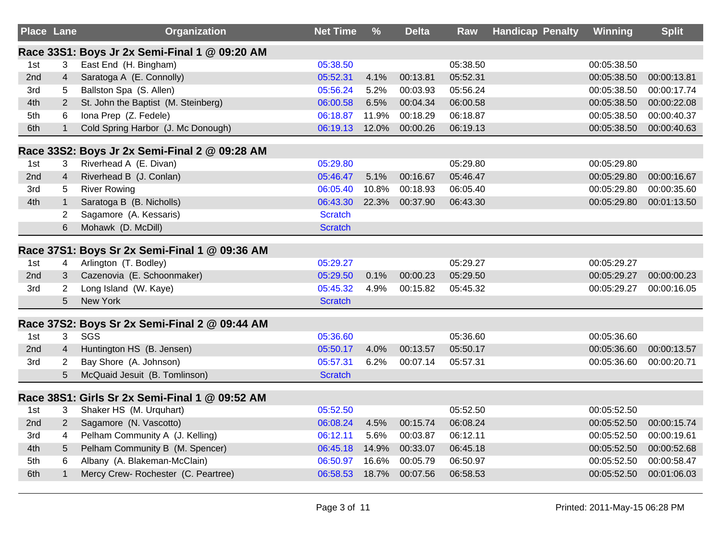| <b>Place Lane</b> |                | Organization                                   | <b>Net Time</b> | %     | <b>Delta</b>   | Raw      | <b>Handicap Penalty</b> | Winning     | Split       |
|-------------------|----------------|------------------------------------------------|-----------------|-------|----------------|----------|-------------------------|-------------|-------------|
|                   |                | Race 33S1: Boys Jr 2x Semi-Final 1 @ 09:20 AM  |                 |       |                |          |                         |             |             |
| 1st               | 3              | East End (H. Bingham)                          | 05:38.50        |       |                | 05:38.50 |                         | 00:05:38.50 |             |
| 2nd               | $\overline{4}$ | Saratoga A (E. Connolly)                       | 05:52.31        | 4.1%  | 00:13.81       | 05:52.31 |                         | 00:05:38.50 | 00:00:13.81 |
| 3rd               | 5              | Ballston Spa (S. Allen)                        | 05:56.24        | 5.2%  | 00:03.93       | 05:56.24 |                         | 00:05:38.50 | 00:00:17.74 |
| 4th               | $\overline{2}$ | St. John the Baptist (M. Steinberg)            | 06:00.58        | 6.5%  | 00:04.34       | 06:00.58 |                         | 00:05:38.50 | 00:00:22.08 |
| 5th               | 6              | Iona Prep (Z. Fedele)                          | 06:18.87        | 11.9% | 00:18.29       | 06:18.87 |                         | 00:05:38.50 | 00:00:40.37 |
| 6th               | $\mathbf{1}$   | Cold Spring Harbor (J. Mc Donough)             | 06:19.13        | 12.0% | 00:00.26       | 06:19.13 |                         | 00:05:38.50 | 00:00:40.63 |
|                   |                | Race 33S2: Boys Jr 2x Semi-Final 2 @ 09:28 AM  |                 |       |                |          |                         |             |             |
| 1st               | 3              | Riverhead A (E. Divan)                         | 05:29.80        |       |                | 05:29.80 |                         | 00:05:29.80 |             |
| 2nd               | $\overline{4}$ | Riverhead B (J. Conlan)                        | 05:46.47        | 5.1%  | 00:16.67       | 05:46.47 |                         | 00:05:29.80 | 00:00:16.67 |
| 3rd               | 5              | <b>River Rowing</b>                            | 06:05.40        | 10.8% | 00:18.93       | 06:05.40 |                         | 00:05:29.80 | 00:00:35.60 |
| 4th               | $\mathbf{1}$   | Saratoga B (B. Nicholls)                       | 06:43.30        | 22.3% | 00:37.90       | 06:43.30 |                         | 00:05:29.80 | 00:01:13.50 |
|                   | $\overline{2}$ | Sagamore (A. Kessaris)                         | <b>Scratch</b>  |       |                |          |                         |             |             |
|                   | 6              | Mohawk (D. McDill)                             | <b>Scratch</b>  |       |                |          |                         |             |             |
|                   |                | Race 37S1: Boys Sr 2x Semi-Final 1 @ 09:36 AM  |                 |       |                |          |                         |             |             |
| 1st               | 4              | Arlington (T. Bodley)                          | 05:29.27        |       |                | 05:29.27 |                         | 00:05:29.27 |             |
| 2nd               | 3              | Cazenovia (E. Schoonmaker)                     | 05:29.50        | 0.1%  | 00:00.23       | 05:29.50 |                         | 00:05:29.27 | 00:00:00.23 |
| 3rd               | $\overline{2}$ | Long Island (W. Kaye)                          | 05:45.32        | 4.9%  | 00:15.82       | 05:45.32 |                         | 00:05:29.27 | 00:00:16.05 |
|                   | 5              | <b>New York</b>                                | <b>Scratch</b>  |       |                |          |                         |             |             |
|                   |                | Race 37S2: Boys Sr 2x Semi-Final 2 @ 09:44 AM  |                 |       |                |          |                         |             |             |
| 1st               | 3              | SGS                                            | 05:36.60        |       |                | 05:36.60 |                         | 00:05:36.60 |             |
| 2nd               | $\overline{4}$ | Huntington HS (B. Jensen)                      | 05:50.17        | 4.0%  | 00:13.57       | 05:50.17 |                         | 00:05:36.60 | 00:00:13.57 |
| 3rd               | $\overline{2}$ | Bay Shore (A. Johnson)                         | 05:57.31        | 6.2%  | 00:07.14       | 05:57.31 |                         | 00:05:36.60 | 00:00:20.71 |
|                   | 5              | McQuaid Jesuit (B. Tomlinson)                  | <b>Scratch</b>  |       |                |          |                         |             |             |
|                   |                | Race 38S1: Girls Sr 2x Semi-Final 1 @ 09:52 AM |                 |       |                |          |                         |             |             |
| 1st               | 3              | Shaker HS (M. Urquhart)                        | 05:52.50        |       |                | 05:52.50 |                         | 00:05:52.50 |             |
| 2nd               | $\overline{2}$ | Sagamore (N. Vascotto)                         | 06:08.24        | 4.5%  | 00:15.74       | 06:08.24 |                         | 00:05:52.50 | 00:00:15.74 |
| 3rd               | 4              | Pelham Community A (J. Kelling)                | 06:12.11        | 5.6%  | 00:03.87       | 06:12.11 |                         | 00:05:52.50 | 00:00:19.61 |
| 4th               | 5              | Pelham Community B (M. Spencer)                | 06:45.18        | 14.9% | 00:33.07       | 06:45.18 |                         | 00:05:52.50 | 00:00:52.68 |
| 5th               | 6              | Albany (A. Blakeman-McClain)                   | 06:50.97        | 16.6% | 00:05.79       | 06:50.97 |                         | 00:05:52.50 | 00:00:58.47 |
| 6th               | $\mathbf{1}$   | Mercy Crew- Rochester (C. Peartree)            | 06:58.53        |       | 18.7% 00:07.56 | 06:58.53 |                         | 00:05:52.50 | 00:01:06.03 |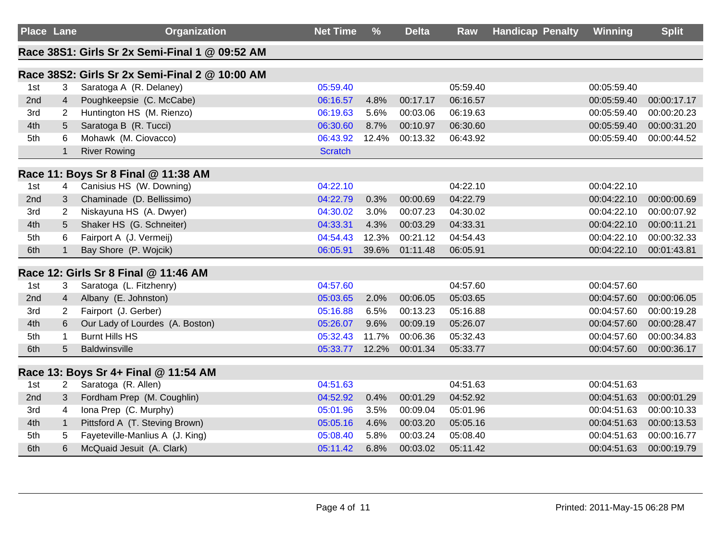| <b>Place Lane</b> |                | <b>Organization</b>                            | <b>Net Time</b> | $\frac{9}{6}$ | <b>Delta</b> | Raw      | <b>Handicap Penalty</b> | Winning     | <b>Split</b> |
|-------------------|----------------|------------------------------------------------|-----------------|---------------|--------------|----------|-------------------------|-------------|--------------|
|                   |                | Race 38S1: Girls Sr 2x Semi-Final 1 @ 09:52 AM |                 |               |              |          |                         |             |              |
|                   |                | Race 38S2: Girls Sr 2x Semi-Final 2 @ 10:00 AM |                 |               |              |          |                         |             |              |
| 1st               | 3              | Saratoga A (R. Delaney)                        | 05:59.40        |               |              | 05:59.40 |                         | 00:05:59.40 |              |
| 2nd               | $\overline{4}$ | Poughkeepsie (C. McCabe)                       | 06:16.57        | 4.8%          | 00:17.17     | 06:16.57 |                         | 00:05:59.40 | 00:00:17.17  |
| 3rd               | 2              | Huntington HS (M. Rienzo)                      | 06:19.63        | 5.6%          | 00:03.06     | 06:19.63 |                         | 00:05:59.40 | 00:00:20.23  |
| 4th               | 5              | Saratoga B (R. Tucci)                          | 06:30.60        | 8.7%          | 00:10.97     | 06:30.60 |                         | 00:05:59.40 | 00:00:31.20  |
| 5th               | 6              | Mohawk (M. Ciovacco)                           | 06:43.92        | 12.4%         | 00:13.32     | 06:43.92 |                         | 00:05:59.40 | 00:00:44.52  |
|                   | $\mathbf{1}$   | <b>River Rowing</b>                            | <b>Scratch</b>  |               |              |          |                         |             |              |
|                   |                | Race 11: Boys Sr 8 Final @ 11:38 AM            |                 |               |              |          |                         |             |              |
| 1st               | 4              | Canisius HS (W. Downing)                       | 04:22.10        |               |              | 04:22.10 |                         | 00:04:22.10 |              |
| 2nd               | 3              | Chaminade (D. Bellissimo)                      | 04:22.79        | 0.3%          | 00:00.69     | 04:22.79 |                         | 00:04:22.10 | 00:00:00.69  |
| 3rd               | $\overline{2}$ | Niskayuna HS (A. Dwyer)                        | 04:30.02        | 3.0%          | 00:07.23     | 04:30.02 |                         | 00:04:22.10 | 00:00:07.92  |
| 4th               | 5              | Shaker HS (G. Schneiter)                       | 04:33.31        | 4.3%          | 00:03.29     | 04:33.31 |                         | 00:04:22.10 | 00:00:11.21  |
| 5th               | 6              | Fairport A (J. Vermeij)                        | 04:54.43        | 12.3%         | 00:21.12     | 04:54.43 |                         | 00:04:22.10 | 00:00:32.33  |
| 6th               | $\mathbf{1}$   | Bay Shore (P. Wojcik)                          | 06:05.91        | 39.6%         | 01:11.48     | 06:05.91 |                         | 00:04:22.10 | 00:01:43.81  |
|                   |                | Race 12: Girls Sr 8 Final @ 11:46 AM           |                 |               |              |          |                         |             |              |
| 1st               | 3              | Saratoga (L. Fitzhenry)                        | 04:57.60        |               |              | 04:57.60 |                         | 00:04:57.60 |              |
| 2nd               | $\overline{4}$ | Albany (E. Johnston)                           | 05:03.65        | 2.0%          | 00:06.05     | 05:03.65 |                         | 00:04:57.60 | 00:00:06.05  |
| 3rd               | $\overline{2}$ | Fairport (J. Gerber)                           | 05:16.88        | 6.5%          | 00:13.23     | 05:16.88 |                         | 00:04:57.60 | 00:00:19.28  |
| 4th               | 6              | Our Lady of Lourdes (A. Boston)                | 05:26.07        | 9.6%          | 00:09.19     | 05:26.07 |                         | 00:04:57.60 | 00:00:28.47  |
| 5th               | $\mathbf{1}$   | <b>Burnt Hills HS</b>                          | 05:32.43        | 11.7%         | 00:06.36     | 05:32.43 |                         | 00:04:57.60 | 00:00:34.83  |
| 6th               | 5              | <b>Baldwinsville</b>                           | 05:33.77        | 12.2%         | 00:01.34     | 05:33.77 |                         | 00:04:57.60 | 00:00:36.17  |
|                   |                | Race 13: Boys Sr 4+ Final @ 11:54 AM           |                 |               |              |          |                         |             |              |
| 1st               | $\overline{2}$ | Saratoga (R. Allen)                            | 04:51.63        |               |              | 04:51.63 |                         | 00:04:51.63 |              |
| 2nd               | 3              | Fordham Prep (M. Coughlin)                     | 04:52.92        | 0.4%          | 00:01.29     | 04:52.92 |                         | 00:04:51.63 | 00:00:01.29  |
| 3rd               | 4              | Iona Prep (C. Murphy)                          | 05:01.96        | 3.5%          | 00:09.04     | 05:01.96 |                         | 00:04:51.63 | 00:00:10.33  |
| 4th               | $\mathbf{1}$   | Pittsford A (T. Steving Brown)                 | 05:05.16        | 4.6%          | 00:03.20     | 05:05.16 |                         | 00:04:51.63 | 00:00:13.53  |
| 5th               | 5              | Fayeteville-Manlius A (J. King)                | 05:08.40        | 5.8%          | 00:03.24     | 05:08.40 |                         | 00:04:51.63 | 00:00:16.77  |
| 6th               | 6              | McQuaid Jesuit (A. Clark)                      | 05:11.42        | 6.8%          | 00:03.02     | 05:11.42 |                         | 00:04:51.63 | 00:00:19.79  |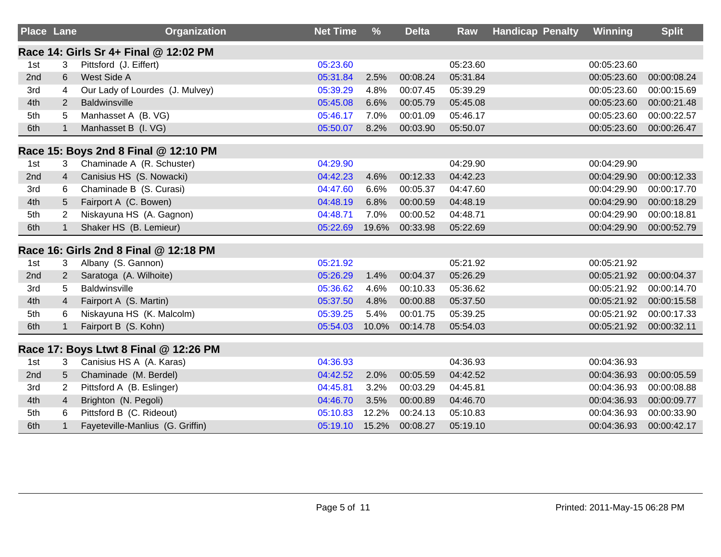| <b>Place Lane</b> |                | Organization                          | <b>Net Time</b> | $\frac{9}{6}$ | <b>Delta</b> | <b>Raw</b> | <b>Handicap Penalty</b> | Winning     | <b>Split</b> |
|-------------------|----------------|---------------------------------------|-----------------|---------------|--------------|------------|-------------------------|-------------|--------------|
|                   |                | Race 14: Girls Sr 4+ Final @ 12:02 PM |                 |               |              |            |                         |             |              |
| 1st               | 3              | Pittsford (J. Eiffert)                | 05:23.60        |               |              | 05:23.60   |                         | 00:05:23.60 |              |
| 2nd               | 6              | West Side A                           | 05:31.84        | 2.5%          | 00:08.24     | 05:31.84   |                         | 00:05:23.60 | 00:00:08.24  |
| 3rd               | 4              | Our Lady of Lourdes (J. Mulvey)       | 05:39.29        | 4.8%          | 00:07.45     | 05:39.29   |                         | 00:05:23.60 | 00:00:15.69  |
| 4th               | 2              | <b>Baldwinsville</b>                  | 05:45.08        | 6.6%          | 00:05.79     | 05:45.08   |                         | 00:05:23.60 | 00:00:21.48  |
| 5th               | 5              | Manhasset A (B. VG)                   | 05:46.17        | 7.0%          | 00:01.09     | 05:46.17   |                         | 00:05:23.60 | 00:00:22.57  |
| 6th               | $\mathbf{1}$   | Manhasset B (I. VG)                   | 05:50.07        | 8.2%          | 00:03.90     | 05:50.07   |                         | 00:05:23.60 | 00:00:26.47  |
|                   |                | Race 15: Boys 2nd 8 Final @ 12:10 PM  |                 |               |              |            |                         |             |              |
| 1st               | 3              | Chaminade A (R. Schuster)             | 04:29.90        |               |              | 04:29.90   |                         | 00:04:29.90 |              |
| 2nd               | $\overline{4}$ | Canisius HS (S. Nowacki)              | 04:42.23        | 4.6%          | 00:12.33     | 04:42.23   |                         | 00:04:29.90 | 00:00:12.33  |
| 3rd               | 6              | Chaminade B (S. Curasi)               | 04:47.60        | 6.6%          | 00:05.37     | 04:47.60   |                         | 00:04:29.90 | 00:00:17.70  |
| 4th               | 5              | Fairport A (C. Bowen)                 | 04:48.19        | 6.8%          | 00:00.59     | 04:48.19   |                         | 00:04:29.90 | 00:00:18.29  |
| 5th               | $\overline{2}$ | Niskayuna HS (A. Gagnon)              | 04:48.71        | 7.0%          | 00:00.52     | 04:48.71   |                         | 00:04:29.90 | 00:00:18.81  |
| 6th               | $\mathbf{1}$   | Shaker HS (B. Lemieur)                | 05:22.69        | 19.6%         | 00:33.98     | 05:22.69   |                         | 00:04:29.90 | 00:00:52.79  |
|                   |                | Race 16: Girls 2nd 8 Final @ 12:18 PM |                 |               |              |            |                         |             |              |
| 1st               | 3              | Albany (S. Gannon)                    | 05:21.92        |               |              | 05:21.92   |                         | 00:05:21.92 |              |
| 2nd               | $\overline{2}$ | Saratoga (A. Wilhoite)                | 05:26.29        | 1.4%          | 00:04.37     | 05:26.29   |                         | 00:05:21.92 | 00:00:04.37  |
| 3rd               | 5              | Baldwinsville                         | 05:36.62        | 4.6%          | 00:10.33     | 05:36.62   |                         | 00:05:21.92 | 00:00:14.70  |
| 4th               | $\overline{4}$ | Fairport A (S. Martin)                | 05:37.50        | 4.8%          | 00:00.88     | 05:37.50   |                         | 00:05:21.92 | 00:00:15.58  |
| 5th               | 6              | Niskayuna HS (K. Malcolm)             | 05:39.25        | 5.4%          | 00:01.75     | 05:39.25   |                         | 00:05:21.92 | 00:00:17.33  |
| 6th               |                | Fairport B (S. Kohn)                  | 05:54.03        | 10.0%         | 00:14.78     | 05:54.03   |                         | 00:05:21.92 | 00:00:32.11  |
|                   |                | Race 17: Boys Ltwt 8 Final @ 12:26 PM |                 |               |              |            |                         |             |              |
| 1st               | 3              | Canisius HS A (A. Karas)              | 04:36.93        |               |              | 04:36.93   |                         | 00:04:36.93 |              |
| 2nd               | 5              | Chaminade (M. Berdel)                 | 04:42.52        | 2.0%          | 00:05.59     | 04:42.52   |                         | 00:04:36.93 | 00:00:05.59  |
| 3rd               | $\overline{2}$ | Pittsford A (B. Eslinger)             | 04:45.81        | 3.2%          | 00:03.29     | 04:45.81   |                         | 00:04:36.93 | 00:00:08.88  |
| 4th               | $\overline{4}$ | Brighton (N. Pegoli)                  | 04:46.70        | 3.5%          | 00:00.89     | 04:46.70   |                         | 00:04:36.93 | 00:00:09.77  |
| 5th               | 6              | Pittsford B (C. Rideout)              | 05:10.83        | 12.2%         | 00:24.13     | 05:10.83   |                         | 00:04:36.93 | 00:00:33.90  |
| 6th               |                | Fayeteville-Manlius (G. Griffin)      | 05:19.10        | 15.2%         | 00:08.27     | 05:19.10   |                         | 00:04:36.93 | 00:00:42.17  |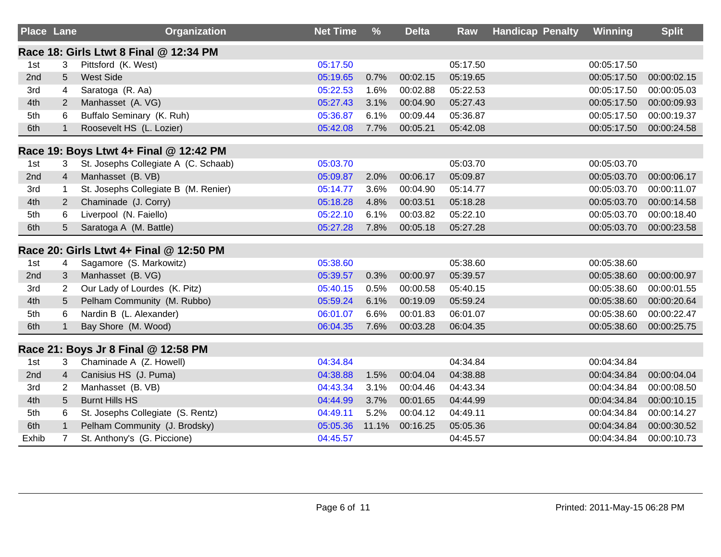| <b>Place Lane</b> |                | <b>Organization</b>                     | <b>Net Time</b> | %     | <b>Delta</b> | <b>Raw</b> | <b>Handicap Penalty</b> | <b>Winning</b> | <b>Split</b> |
|-------------------|----------------|-----------------------------------------|-----------------|-------|--------------|------------|-------------------------|----------------|--------------|
|                   |                | Race 18: Girls Ltwt 8 Final @ 12:34 PM  |                 |       |              |            |                         |                |              |
| 1st               | 3              | Pittsford (K. West)                     | 05:17.50        |       |              | 05:17.50   |                         | 00:05:17.50    |              |
| 2nd               | 5              | <b>West Side</b>                        | 05:19.65        | 0.7%  | 00:02.15     | 05:19.65   |                         | 00:05:17.50    | 00:00:02.15  |
| 3rd               | 4              | Saratoga (R. Aa)                        | 05:22.53        | 1.6%  | 00:02.88     | 05:22.53   |                         | 00:05:17.50    | 00:00:05.03  |
| 4th               | $\overline{2}$ | Manhasset (A. VG)                       | 05:27.43        | 3.1%  | 00:04.90     | 05:27.43   |                         | 00:05:17.50    | 00:00:09.93  |
| 5th               | 6              | Buffalo Seminary (K. Ruh)               | 05:36.87        | 6.1%  | 00:09.44     | 05:36.87   |                         | 00:05:17.50    | 00:00:19.37  |
| 6th               | $\mathbf{1}$   | Roosevelt HS (L. Lozier)                | 05:42.08        | 7.7%  | 00:05.21     | 05:42.08   |                         | 00:05:17.50    | 00:00:24.58  |
|                   |                | Race 19: Boys Ltwt 4+ Final @ 12:42 PM  |                 |       |              |            |                         |                |              |
| 1st               | 3              | St. Josephs Collegiate A (C. Schaab)    | 05:03.70        |       |              | 05:03.70   |                         | 00:05:03.70    |              |
| 2nd               | 4              | Manhasset (B. VB)                       | 05:09.87        | 2.0%  | 00:06.17     | 05:09.87   |                         | 00:05:03.70    | 00:00:06.17  |
| 3rd               | $\mathbf{1}$   | St. Josephs Collegiate B (M. Renier)    | 05:14.77        | 3.6%  | 00:04.90     | 05:14.77   |                         | 00:05:03.70    | 00:00:11.07  |
| 4th               | $\overline{2}$ | Chaminade (J. Corry)                    | 05:18.28        | 4.8%  | 00:03.51     | 05:18.28   |                         | 00:05:03.70    | 00:00:14.58  |
| 5th               | 6              | Liverpool (N. Faiello)                  | 05:22.10        | 6.1%  | 00:03.82     | 05:22.10   |                         | 00:05:03.70    | 00:00:18.40  |
| 6th               | 5              | Saratoga A (M. Battle)                  | 05:27.28        | 7.8%  | 00:05.18     | 05:27.28   |                         | 00:05:03.70    | 00:00:23.58  |
|                   |                | Race 20: Girls Ltwt 4+ Final @ 12:50 PM |                 |       |              |            |                         |                |              |
| 1st               | 4              | Sagamore (S. Markowitz)                 | 05:38.60        |       |              | 05:38.60   |                         | 00:05:38.60    |              |
| 2nd               | 3              | Manhasset (B. VG)                       | 05:39.57        | 0.3%  | 00:00.97     | 05:39.57   |                         | 00:05:38.60    | 00:00:00.97  |
| 3rd               | $\overline{2}$ | Our Lady of Lourdes (K. Pitz)           | 05:40.15        | 0.5%  | 00:00.58     | 05:40.15   |                         | 00:05:38.60    | 00:00:01.55  |
| 4th               | 5              | Pelham Community (M. Rubbo)             | 05:59.24        | 6.1%  | 00:19.09     | 05:59.24   |                         | 00:05:38.60    | 00:00:20.64  |
| 5th               | 6              | Nardin B (L. Alexander)                 | 06:01.07        | 6.6%  | 00:01.83     | 06:01.07   |                         | 00:05:38.60    | 00:00:22.47  |
| 6th               | $\mathbf{1}$   | Bay Shore (M. Wood)                     | 06:04.35        | 7.6%  | 00:03.28     | 06:04.35   |                         | 00:05:38.60    | 00:00:25.75  |
|                   |                | Race 21: Boys Jr 8 Final @ 12:58 PM     |                 |       |              |            |                         |                |              |
| 1st               | 3              | Chaminade A (Z. Howell)                 | 04:34.84        |       |              | 04:34.84   |                         | 00:04:34.84    |              |
| 2nd               | $\overline{4}$ | Canisius HS (J. Puma)                   | 04:38.88        | 1.5%  | 00:04.04     | 04:38.88   |                         | 00:04:34.84    | 00:00:04.04  |
| 3rd               | $\overline{2}$ | Manhasset (B. VB)                       | 04:43.34        | 3.1%  | 00:04.46     | 04:43.34   |                         | 00:04:34.84    | 00:00:08.50  |
| 4th               | 5              | <b>Burnt Hills HS</b>                   | 04:44.99        | 3.7%  | 00:01.65     | 04:44.99   |                         | 00:04:34.84    | 00:00:10.15  |
| 5th               | 6              | St. Josephs Collegiate (S. Rentz)       | 04:49.11        | 5.2%  | 00:04.12     | 04:49.11   |                         | 00:04:34.84    | 00:00:14.27  |
| 6th               | $\mathbf{1}$   | Pelham Community (J. Brodsky)           | 05:05.36        | 11.1% | 00:16.25     | 05:05.36   |                         | 00:04:34.84    | 00:00:30.52  |
| Exhib             | $\overline{7}$ | St. Anthony's (G. Piccione)             | 04:45.57        |       |              | 04:45.57   |                         | 00:04:34.84    | 00:00:10.73  |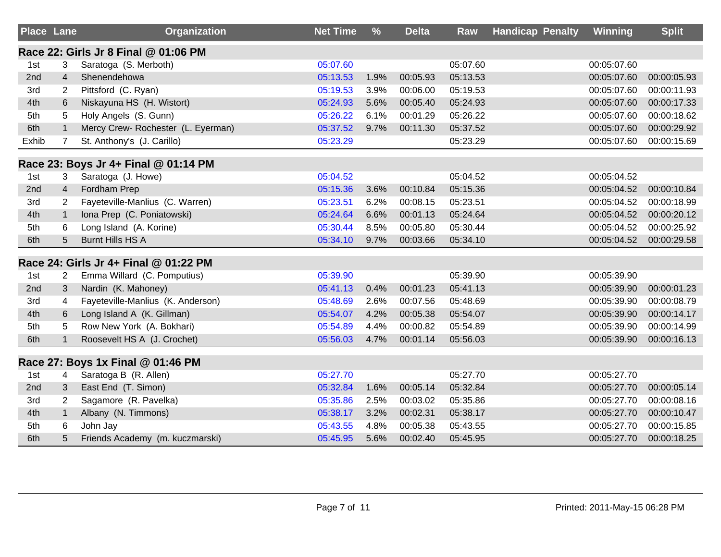| <b>Place Lane</b> |                | <b>Organization</b>                   | <b>Net Time</b> | %    | <b>Delta</b> | Raw      | <b>Handicap Penalty</b> | <b>Winning</b> | <b>Split</b> |
|-------------------|----------------|---------------------------------------|-----------------|------|--------------|----------|-------------------------|----------------|--------------|
|                   |                | Race 22: Girls Jr 8 Final @ 01:06 PM  |                 |      |              |          |                         |                |              |
| 1st               | 3              | Saratoga (S. Merboth)                 | 05:07.60        |      |              | 05:07.60 |                         | 00:05:07.60    |              |
| 2nd               | $\overline{4}$ | Shenendehowa                          | 05:13.53        | 1.9% | 00:05.93     | 05:13.53 |                         | 00:05:07.60    | 00:00:05.93  |
| 3rd               | $\overline{2}$ | Pittsford (C. Ryan)                   | 05:19.53        | 3.9% | 00:06.00     | 05:19.53 |                         | 00:05:07.60    | 00:00:11.93  |
| 4th               | 6              | Niskayuna HS (H. Wistort)             | 05:24.93        | 5.6% | 00:05.40     | 05:24.93 |                         | 00:05:07.60    | 00:00:17.33  |
| 5th               | 5              | Holy Angels (S. Gunn)                 | 05:26.22        | 6.1% | 00:01.29     | 05:26.22 |                         | 00:05:07.60    | 00:00:18.62  |
| 6th               | $\mathbf{1}$   | Mercy Crew- Rochester (L. Eyerman)    | 05:37.52        | 9.7% | 00:11.30     | 05:37.52 |                         | 00:05:07.60    | 00:00:29.92  |
| Exhib             | $\overline{7}$ | St. Anthony's (J. Carillo)            | 05:23.29        |      |              | 05:23.29 |                         | 00:05:07.60    | 00:00:15.69  |
|                   |                | Race 23: Boys Jr 4+ Final @ 01:14 PM  |                 |      |              |          |                         |                |              |
| 1st               | 3              | Saratoga (J. Howe)                    | 05:04.52        |      |              | 05:04.52 |                         | 00:05:04.52    |              |
| 2nd               | 4              | Fordham Prep                          | 05:15.36        | 3.6% | 00:10.84     | 05:15.36 |                         | 00:05:04.52    | 00:00:10.84  |
| 3rd               | $\overline{2}$ | Fayeteville-Manlius (C. Warren)       | 05:23.51        | 6.2% | 00:08.15     | 05:23.51 |                         | 00:05:04.52    | 00:00:18.99  |
| 4th               | $\mathbf{1}$   | Iona Prep (C. Poniatowski)            | 05:24.64        | 6.6% | 00:01.13     | 05:24.64 |                         | 00:05:04.52    | 00:00:20.12  |
| 5th               | 6              | Long Island (A. Korine)               | 05:30.44        | 8.5% | 00:05.80     | 05:30.44 |                         | 00:05:04.52    | 00:00:25.92  |
| 6th               | 5              | <b>Burnt Hills HS A</b>               | 05:34.10        | 9.7% | 00:03.66     | 05:34.10 |                         | 00:05:04.52    | 00:00:29.58  |
|                   |                | Race 24: Girls Jr 4+ Final @ 01:22 PM |                 |      |              |          |                         |                |              |
| 1st               | 2              | Emma Willard (C. Pomputius)           | 05:39.90        |      |              | 05:39.90 |                         | 00:05:39.90    |              |
| 2nd               | 3              | Nardin (K. Mahoney)                   | 05:41.13        | 0.4% | 00:01.23     | 05:41.13 |                         | 00:05:39.90    | 00:00:01.23  |
| 3rd               | 4              | Fayeteville-Manlius (K. Anderson)     | 05:48.69        | 2.6% | 00:07.56     | 05:48.69 |                         | 00:05:39.90    | 00:00:08.79  |
| 4th               | 6              | Long Island A (K. Gillman)            | 05:54.07        | 4.2% | 00:05.38     | 05:54.07 |                         | 00:05:39.90    | 00:00:14.17  |
| 5th               | 5              | Row New York (A. Bokhari)             | 05:54.89        | 4.4% | 00:00.82     | 05:54.89 |                         | 00:05:39.90    | 00:00:14.99  |
| 6th               | $\mathbf{1}$   | Roosevelt HS A (J. Crochet)           | 05:56.03        | 4.7% | 00:01.14     | 05:56.03 |                         | 00:05:39.90    | 00:00:16.13  |
|                   |                | Race 27: Boys 1x Final @ 01:46 PM     |                 |      |              |          |                         |                |              |
| 1st               | 4              | Saratoga B (R. Allen)                 | 05:27.70        |      |              | 05:27.70 |                         | 00:05:27.70    |              |
| 2nd               | 3              | East End (T. Simon)                   | 05:32.84        | 1.6% | 00:05.14     | 05:32.84 |                         | 00:05:27.70    | 00:00:05.14  |
| 3rd               | $\overline{2}$ | Sagamore (R. Pavelka)                 | 05:35.86        | 2.5% | 00:03.02     | 05:35.86 |                         | 00:05:27.70    | 00:00:08.16  |
| 4th               | $\mathbf{1}$   | Albany (N. Timmons)                   | 05:38.17        | 3.2% | 00:02.31     | 05:38.17 |                         | 00:05:27.70    | 00:00:10.47  |
| 5th               | 6              | John Jay                              | 05:43.55        | 4.8% | 00:05.38     | 05:43.55 |                         | 00:05:27.70    | 00:00:15.85  |
| 6th               | 5              | Friends Academy (m. kuczmarski)       | 05:45.95        | 5.6% | 00:02.40     | 05:45.95 |                         | 00:05:27.70    | 00:00:18.25  |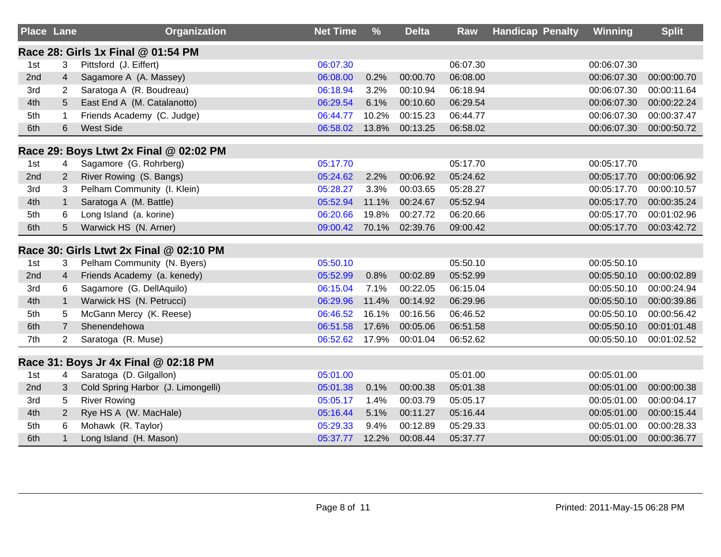| <b>Place Lane</b> |                      | Organization                            | <b>Net Time</b> | $\frac{9}{6}$ | <b>Delta</b> | <b>Raw</b> | <b>Handicap Penalty</b> | Winning     | <b>Split</b> |
|-------------------|----------------------|-----------------------------------------|-----------------|---------------|--------------|------------|-------------------------|-------------|--------------|
|                   |                      | Race 28: Girls 1x Final @ 01:54 PM      |                 |               |              |            |                         |             |              |
| 1st               | 3                    | Pittsford (J. Eiffert)                  | 06:07.30        |               |              | 06:07.30   |                         | 00:06:07.30 |              |
| 2nd               | $\overline{4}$       | Sagamore A (A. Massey)                  | 06:08.00        | 0.2%          | 00:00.70     | 06:08.00   |                         | 00:06:07.30 | 00:00:00.70  |
| 3rd               | $\mathbf{2}^{\circ}$ | Saratoga A (R. Boudreau)                | 06:18.94        | 3.2%          | 00:10.94     | 06:18.94   |                         | 00:06:07.30 | 00:00:11.64  |
| 4th               | 5                    | East End A (M. Catalanotto)             | 06:29.54        | 6.1%          | 00:10.60     | 06:29.54   |                         | 00:06:07.30 | 00:00:22.24  |
| 5th               | $\mathbf{1}$         | Friends Academy (C. Judge)              | 06:44.77        | 10.2%         | 00:15.23     | 06:44.77   |                         | 00:06:07.30 | 00:00:37.47  |
| 6th               | $6\phantom{1}$       | <b>West Side</b>                        | 06:58.02        | 13.8%         | 00:13.25     | 06:58.02   |                         | 00:06:07.30 | 00:00:50.72  |
|                   |                      | Race 29: Boys Ltwt 2x Final @ 02:02 PM  |                 |               |              |            |                         |             |              |
| 1st               | 4                    | Sagamore (G. Rohrberg)                  | 05:17.70        |               |              | 05:17.70   |                         | 00:05:17.70 |              |
| 2nd               | $\overline{2}$       | River Rowing (S. Bangs)                 | 05:24.62        | 2.2%          | 00:06.92     | 05:24.62   |                         | 00:05:17.70 | 00:00:06.92  |
| 3rd               | 3                    | Pelham Community (I. Klein)             | 05:28.27        | 3.3%          | 00:03.65     | 05:28.27   |                         | 00:05:17.70 | 00:00:10.57  |
| 4th               | $\mathbf{1}$         | Saratoga A (M. Battle)                  | 05:52.94        | 11.1%         | 00:24.67     | 05:52.94   |                         | 00:05:17.70 | 00:00:35.24  |
| 5th               | 6                    | Long Island (a. korine)                 | 06:20.66        | 19.8%         | 00:27.72     | 06:20.66   |                         | 00:05:17.70 | 00:01:02.96  |
| 6th               | 5                    | Warwick HS (N. Arner)                   | 09:00.42        | 70.1%         | 02:39.76     | 09:00.42   |                         | 00:05:17.70 | 00:03:42.72  |
|                   |                      | Race 30: Girls Ltwt 2x Final @ 02:10 PM |                 |               |              |            |                         |             |              |
| 1st               | 3                    | Pelham Community (N. Byers)             | 05:50.10        |               |              | 05:50.10   |                         | 00:05:50.10 |              |
| 2nd               | 4                    | Friends Academy (a. kenedy)             | 05:52.99        | 0.8%          | 00:02.89     | 05:52.99   |                         | 00:05:50.10 | 00:00:02.89  |
| 3rd               | 6                    | Sagamore (G. DellAquilo)                | 06:15.04        | 7.1%          | 00:22.05     | 06:15.04   |                         | 00:05:50.10 | 00:00:24.94  |
| 4th               | $\mathbf{1}$         | Warwick HS (N. Petrucci)                | 06:29.96        | 11.4%         | 00:14.92     | 06:29.96   |                         | 00:05:50.10 | 00:00:39.86  |
| 5th               | 5                    | McGann Mercy (K. Reese)                 | 06:46.52        | 16.1%         | 00:16.56     | 06:46.52   |                         | 00:05:50.10 | 00:00:56.42  |
| 6th               | $\overline{7}$       | Shenendehowa                            | 06:51.58        | 17.6%         | 00:05.06     | 06:51.58   |                         | 00:05:50.10 | 00:01:01.48  |
| 7th               | $\overline{2}$       | Saratoga (R. Muse)                      | 06:52.62        | 17.9%         | 00:01.04     | 06:52.62   |                         | 00:05:50.10 | 00:01:02.52  |
|                   |                      | Race 31: Boys Jr 4x Final @ 02:18 PM    |                 |               |              |            |                         |             |              |
| 1st               | 4                    | Saratoga (D. Gilgallon)                 | 05:01.00        |               |              | 05:01.00   |                         | 00:05:01.00 |              |
| 2nd               | 3                    | Cold Spring Harbor (J. Limongelli)      | 05:01.38        | 0.1%          | 00:00.38     | 05:01.38   |                         | 00:05:01.00 | 00:00:00.38  |
| 3rd               | 5                    | <b>River Rowing</b>                     | 05:05.17        | 1.4%          | 00:03.79     | 05:05.17   |                         | 00:05:01.00 | 00:00:04.17  |
| 4th               | $\overline{2}$       | Rye HS A (W. MacHale)                   | 05:16.44        | 5.1%          | 00:11.27     | 05:16.44   |                         | 00:05:01.00 | 00:00:15.44  |
| 5th               | 6                    | Mohawk (R. Taylor)                      | 05:29.33        | 9.4%          | 00:12.89     | 05:29.33   |                         | 00:05:01.00 | 00:00:28.33  |
| 6th               | $\mathbf{1}$         | Long Island (H. Mason)                  | 05:37.77        | 12.2%         | 00:08.44     | 05:37.77   |                         | 00:05:01.00 | 00:00:36.77  |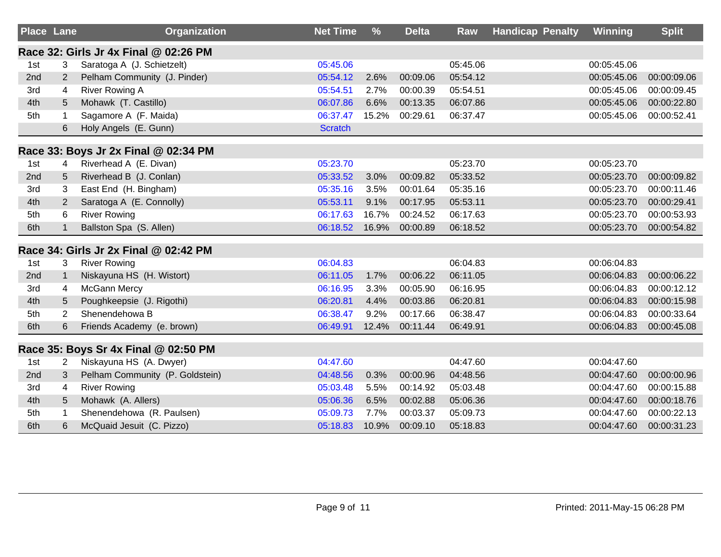| <b>Place Lane</b> |                | <b>Organization</b>                   | <b>Net Time</b> | $\frac{9}{6}$ | <b>Delta</b> | <b>Raw</b> | <b>Handicap Penalty</b> | Winning     | <b>Split</b> |
|-------------------|----------------|---------------------------------------|-----------------|---------------|--------------|------------|-------------------------|-------------|--------------|
|                   |                | Race 32: Girls Jr 4x Final @ 02:26 PM |                 |               |              |            |                         |             |              |
| 1st               | 3              | Saratoga A (J. Schietzelt)            | 05:45.06        |               |              | 05:45.06   |                         | 00:05:45.06 |              |
| 2nd               | $\overline{2}$ | Pelham Community (J. Pinder)          | 05:54.12        | 2.6%          | 00:09.06     | 05:54.12   |                         | 00:05:45.06 | 00:00:09.06  |
| 3rd               | 4              | <b>River Rowing A</b>                 | 05:54.51        | 2.7%          | 00:00.39     | 05:54.51   |                         | 00:05:45.06 | 00:00:09.45  |
| 4th               | 5              | Mohawk (T. Castillo)                  | 06:07.86        | 6.6%          | 00:13.35     | 06:07.86   |                         | 00:05:45.06 | 00:00:22.80  |
| 5th               | $\mathbf{1}$   | Sagamore A (F. Maida)                 | 06:37.47        | 15.2%         | 00:29.61     | 06:37.47   |                         | 00:05:45.06 | 00:00:52.41  |
|                   | 6              | Holy Angels (E. Gunn)                 | <b>Scratch</b>  |               |              |            |                         |             |              |
|                   |                | Race 33: Boys Jr 2x Final @ 02:34 PM  |                 |               |              |            |                         |             |              |
| 1st               | 4              | Riverhead A (E. Divan)                | 05:23.70        |               |              | 05:23.70   |                         | 00:05:23.70 |              |
| 2nd               | 5              | Riverhead B (J. Conlan)               | 05:33.52        | 3.0%          | 00:09.82     | 05:33.52   |                         | 00:05:23.70 | 00:00:09.82  |
| 3rd               | 3              | East End (H. Bingham)                 | 05:35.16        | 3.5%          | 00:01.64     | 05:35.16   |                         | 00:05:23.70 | 00:00:11.46  |
| 4th               | $\overline{2}$ | Saratoga A (E. Connolly)              | 05:53.11        | 9.1%          | 00:17.95     | 05:53.11   |                         | 00:05:23.70 | 00:00:29.41  |
| 5th               | 6              | <b>River Rowing</b>                   | 06:17.63        | 16.7%         | 00:24.52     | 06:17.63   |                         | 00:05:23.70 | 00:00:53.93  |
| 6th               | $\mathbf{1}$   | Ballston Spa (S. Allen)               | 06:18.52        | 16.9%         | 00:00.89     | 06:18.52   |                         | 00:05:23.70 | 00:00:54.82  |
|                   |                | Race 34: Girls Jr 2x Final @ 02:42 PM |                 |               |              |            |                         |             |              |
| 1st               | 3              | <b>River Rowing</b>                   | 06:04.83        |               |              | 06:04.83   |                         | 00:06:04.83 |              |
| 2nd               | $\mathbf{1}$   | Niskayuna HS (H. Wistort)             | 06:11.05        | 1.7%          | 00:06.22     | 06:11.05   |                         | 00:06:04.83 | 00:00:06.22  |
| 3rd               | 4              | <b>McGann Mercy</b>                   | 06:16.95        | 3.3%          | 00:05.90     | 06:16.95   |                         | 00:06:04.83 | 00:00:12.12  |
| 4th               | 5              | Poughkeepsie (J. Rigothi)             | 06:20.81        | 4.4%          | 00:03.86     | 06:20.81   |                         | 00:06:04.83 | 00:00:15.98  |
| 5th               | $\overline{2}$ | Shenendehowa B                        | 06:38.47        | 9.2%          | 00:17.66     | 06:38.47   |                         | 00:06:04.83 | 00:00:33.64  |
| 6th               | 6              | Friends Academy (e. brown)            | 06:49.91        | 12.4%         | 00:11.44     | 06:49.91   |                         | 00:06:04.83 | 00:00:45.08  |
|                   |                | Race 35: Boys Sr 4x Final @ 02:50 PM  |                 |               |              |            |                         |             |              |
| 1st               | 2              | Niskayuna HS (A. Dwyer)               | 04:47.60        |               |              | 04:47.60   |                         | 00:04:47.60 |              |
| 2nd               | 3              | Pelham Community (P. Goldstein)       | 04:48.56        | 0.3%          | 00:00.96     | 04:48.56   |                         | 00:04:47.60 | 00:00:00.96  |
| 3rd               | 4              | <b>River Rowing</b>                   | 05:03.48        | 5.5%          | 00:14.92     | 05:03.48   |                         | 00:04:47.60 | 00:00:15.88  |
| 4th               | 5              | Mohawk (A. Allers)                    | 05:06.36        | 6.5%          | 00:02.88     | 05:06.36   |                         | 00:04:47.60 | 00:00:18.76  |
| 5th               | $\mathbf{1}$   | Shenendehowa (R. Paulsen)             | 05:09.73        | 7.7%          | 00:03.37     | 05:09.73   |                         | 00:04:47.60 | 00:00:22.13  |
| 6th               | 6              | McQuaid Jesuit (C. Pizzo)             | 05:18.83        | 10.9%         | 00:09.10     | 05:18.83   |                         | 00:04:47.60 | 00:00:31.23  |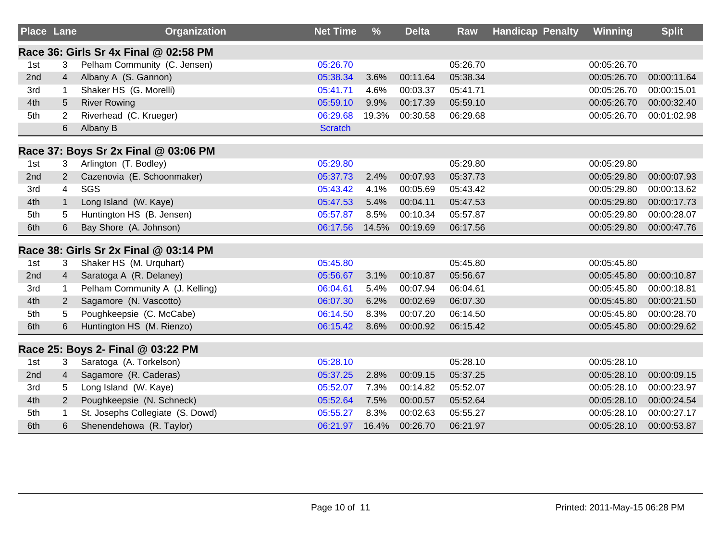| <b>Place Lane</b> |                | <b>Organization</b>                   | <b>Net Time</b> | $\frac{9}{6}$ | <b>Delta</b> | <b>Raw</b> | <b>Handicap Penalty</b> | Winning     | <b>Split</b> |
|-------------------|----------------|---------------------------------------|-----------------|---------------|--------------|------------|-------------------------|-------------|--------------|
|                   |                | Race 36: Girls Sr 4x Final @ 02:58 PM |                 |               |              |            |                         |             |              |
| 1st               | 3              | Pelham Community (C. Jensen)          | 05:26.70        |               |              | 05:26.70   |                         | 00:05:26.70 |              |
| 2nd               | 4              | Albany A (S. Gannon)                  | 05:38.34        | 3.6%          | 00:11.64     | 05:38.34   |                         | 00:05:26.70 | 00:00:11.64  |
| 3rd               | 1              | Shaker HS (G. Morelli)                | 05:41.71        | 4.6%          | 00:03.37     | 05:41.71   |                         | 00:05:26.70 | 00:00:15.01  |
| 4th               | 5              | <b>River Rowing</b>                   | 05:59.10        | 9.9%          | 00:17.39     | 05:59.10   |                         | 00:05:26.70 | 00:00:32.40  |
| 5th               | $\overline{2}$ | Riverhead (C. Krueger)                | 06:29.68        | 19.3%         | 00:30.58     | 06:29.68   |                         | 00:05:26.70 | 00:01:02.98  |
|                   | 6              | Albany B                              | <b>Scratch</b>  |               |              |            |                         |             |              |
|                   |                | Race 37: Boys Sr 2x Final @ 03:06 PM  |                 |               |              |            |                         |             |              |
| 1st               | 3              | Arlington (T. Bodley)                 | 05:29.80        |               |              | 05:29.80   |                         | 00:05:29.80 |              |
| 2nd               | $\overline{2}$ | Cazenovia (E. Schoonmaker)            | 05:37.73        | 2.4%          | 00:07.93     | 05:37.73   |                         | 00:05:29.80 | 00:00:07.93  |
| 3rd               | $\overline{4}$ | SGS                                   | 05:43.42        | 4.1%          | 00:05.69     | 05:43.42   |                         | 00:05:29.80 | 00:00:13.62  |
| 4th               | $\mathbf{1}$   | Long Island (W. Kaye)                 | 05:47.53        | 5.4%          | 00:04.11     | 05:47.53   |                         | 00:05:29.80 | 00:00:17.73  |
| 5th               | 5              | Huntington HS (B. Jensen)             | 05:57.87        | 8.5%          | 00:10.34     | 05:57.87   |                         | 00:05:29.80 | 00:00:28.07  |
| 6th               | 6              | Bay Shore (A. Johnson)                | 06:17.56        | 14.5%         | 00:19.69     | 06:17.56   |                         | 00:05:29.80 | 00:00:47.76  |
|                   |                | Race 38: Girls Sr 2x Final @ 03:14 PM |                 |               |              |            |                         |             |              |
| 1st               | 3              | Shaker HS (M. Urquhart)               | 05:45.80        |               |              | 05:45.80   |                         | 00:05:45.80 |              |
| 2nd               | $\overline{4}$ | Saratoga A (R. Delaney)               | 05:56.67        | 3.1%          | 00:10.87     | 05:56.67   |                         | 00:05:45.80 | 00:00:10.87  |
| 3rd               | $\mathbf 1$    | Pelham Community A (J. Kelling)       | 06:04.61        | 5.4%          | 00:07.94     | 06:04.61   |                         | 00:05:45.80 | 00:00:18.81  |
| 4th               | $\overline{2}$ | Sagamore (N. Vascotto)                | 06:07.30        | 6.2%          | 00:02.69     | 06:07.30   |                         | 00:05:45.80 | 00:00:21.50  |
| 5th               | 5              | Poughkeepsie (C. McCabe)              | 06:14.50        | 8.3%          | 00:07.20     | 06:14.50   |                         | 00:05:45.80 | 00:00:28.70  |
| 6th               | 6              | Huntington HS (M. Rienzo)             | 06:15.42        | 8.6%          | 00:00.92     | 06:15.42   |                         | 00:05:45.80 | 00:00:29.62  |
|                   |                | Race 25: Boys 2- Final @ 03:22 PM     |                 |               |              |            |                         |             |              |
| 1st               | 3              | Saratoga (A. Torkelson)               | 05:28.10        |               |              | 05:28.10   |                         | 00:05:28.10 |              |
| 2nd               | $\overline{4}$ | Sagamore (R. Caderas)                 | 05:37.25        | 2.8%          | 00:09.15     | 05:37.25   |                         | 00:05:28.10 | 00:00:09.15  |
| 3rd               | 5              | Long Island (W. Kaye)                 | 05:52.07        | 7.3%          | 00:14.82     | 05:52.07   |                         | 00:05:28.10 | 00:00:23.97  |
| 4th               | 2              | Poughkeepsie (N. Schneck)             | 05:52.64        | 7.5%          | 00:00.57     | 05:52.64   |                         | 00:05:28.10 | 00:00:24.54  |
| 5th               |                | St. Josephs Collegiate (S. Dowd)      | 05:55.27        | 8.3%          | 00:02.63     | 05:55.27   |                         | 00:05:28.10 | 00:00:27.17  |
| 6th               | 6              | Shenendehowa (R. Taylor)              | 06:21.97        | 16.4%         | 00:26.70     | 06:21.97   |                         | 00:05:28.10 | 00:00:53.87  |